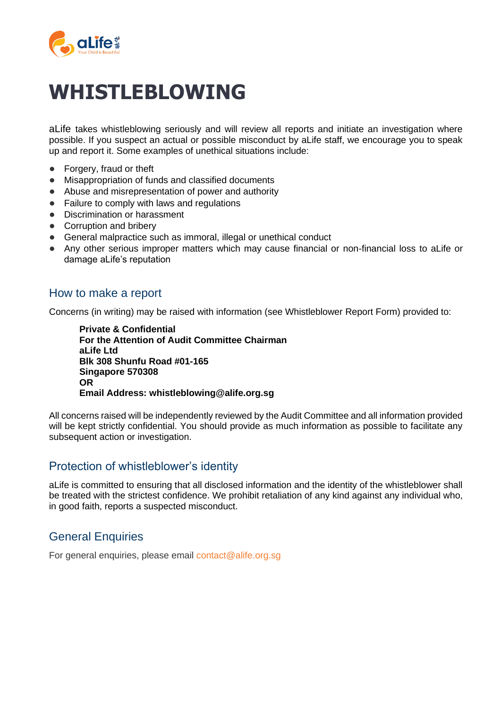

# **WHISTLEBLOWING**

aLife takes whistleblowing seriously and will review all reports and initiate an investigation where possible. If you suspect an actual or possible misconduct by aLife staff, we encourage you to speak up and report it. Some examples of unethical situations include:

- Forgery, fraud or theft
- Misappropriation of funds and classified documents
- Abuse and misrepresentation of power and authority
- Failure to comply with laws and regulations
- Discrimination or harassment
- Corruption and bribery
- General malpractice such as immoral, illegal or unethical conduct
- Any other serious improper matters which may cause financial or non-financial loss to aLife or damage aLife's reputation

## How to make a report

Concerns (in writing) may be raised with information (see Whistleblower Report Form) provided to:

**Private & Confidential For the Attention of Audit Committee Chairman aLife Ltd Blk 308 Shunfu Road #01-165 Singapore 570308 OR Email Address: whistleblowing@alife.org.sg**

All concerns raised will be independently reviewed by the Audit Committee and all information provided will be kept strictly confidential. You should provide as much information as possible to facilitate any subsequent action or investigation.

## Protection of whistleblower's identity

aLife is committed to ensuring that all disclosed information and the identity of the whistleblower shall be treated with the strictest confidence. We prohibit retaliation of any kind against any individual who, in good faith, reports a suspected misconduct.

# General Enquiries

For general enquiries, please email contact@alife.org.sg